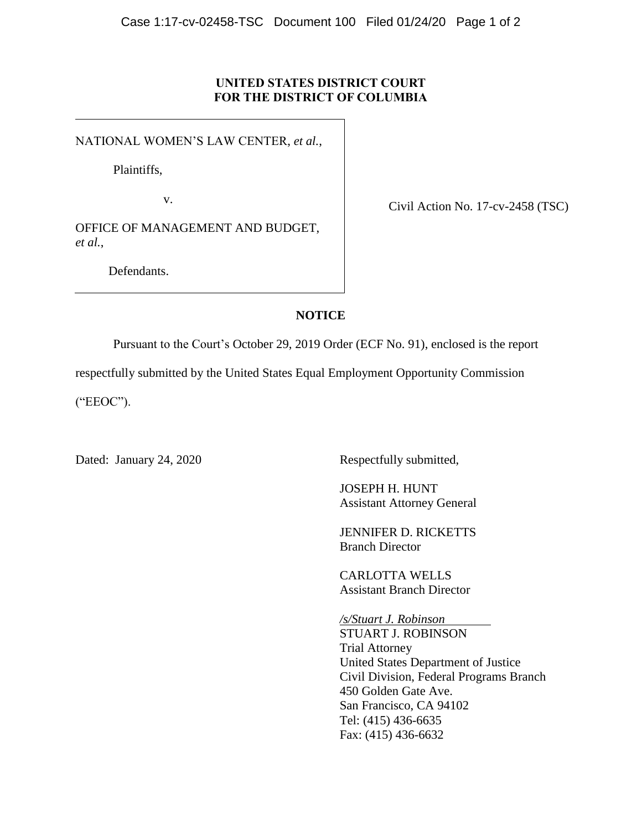### **UNITED STATES DISTRICT COURT FOR THE DISTRICT OF COLUMBIA**

NATIONAL WOMEN'S LAW CENTER, *et al.*,

Plaintiffs,

v.

OFFICE OF MANAGEMENT AND BUDGET, *et al.*,

Defendants.

Civil Action No. 17-cv-2458 (TSC)

## **NOTICE**

Pursuant to the Court's October 29, 2019 Order (ECF No. 91), enclosed is the report

respectfully submitted by the United States Equal Employment Opportunity Commission

("EEOC").

Dated: January 24, 2020 Respectfully submitted,

JOSEPH H. HUNT Assistant Attorney General

JENNIFER D. RICKETTS Branch Director

CARLOTTA WELLS Assistant Branch Director

*/s/Stuart J. Robinson* STUART J. ROBINSON Trial Attorney United States Department of Justice Civil Division, Federal Programs Branch 450 Golden Gate Ave. San Francisco, CA 94102 Tel: (415) 436-6635 Fax: (415) 436-6632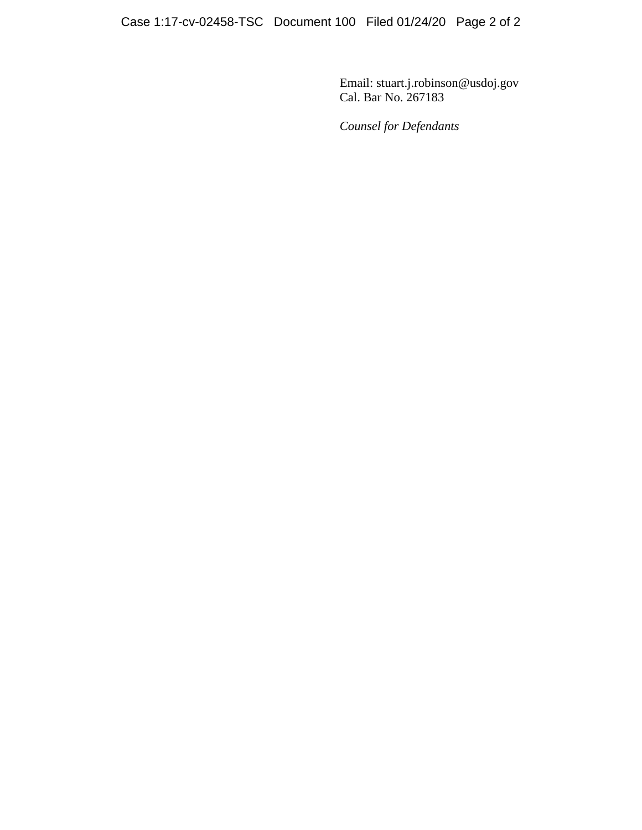Email: stuart.j.robinson@usdoj.gov Cal. Bar No. 267183

*Counsel for Defendants*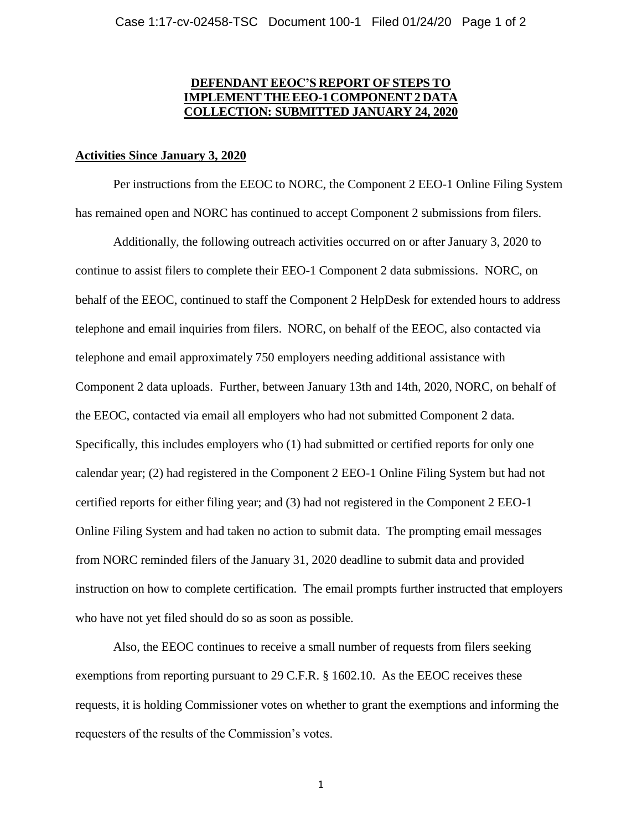## **DEFENDANT EEOC'S REPORT OF STEPS TO IMPLEMENT THE EEO-1 COMPONENT 2 DAT COLLECTION: SUBMITTED JANUARY 24, 2020**

#### **Activities Since January 3, 2020**

Per instructions from the EEOC to NORC, the Component 2 EEO-1 Online Filing System has remained open and NORC has continued to accept Component 2 submissions from filers.

Additionally, the following outreach activities occurred on or after January 3, 2020 to continue to assist filers to complete their EEO-1 Component 2 data submissions. NORC, on behalf of the EEOC, continued to staff the Component 2 HelpDesk for extended hours to address telephone and email inquiries from filers. NORC, on behalf of the EEOC, also contacted via telephone and email approximately 750 employers needing additional assistance with Component 2 data uploads. Further, between January 13th and 14th, 2020, NORC, on behalf of the EEOC, contacted via email all employers who had not submitted Component 2 data. Specifically, this includes employers who (1) had submitted or certified reports for only one calendar year; (2) had registered in the Component 2 EEO-1 Online Filing System but had not certified reports for either filing year; and (3) had not registered in the Component 2 EEO-1 Online Filing System and had taken no action to submit data. The prompting email messages from NORC reminded filers of the January 31, 2020 deadline to submit data and provided instruction on how to complete certification. The email prompts further instructed that employers who have not yet filed should do so as soon as possible.

Also, the EEOC continues to receive a small number of requests from filers seeking exemptions from reporting pursuant to 29 C.F.R. § 1602.10. As the EEOC receives these requests, it is holding Commissioner votes on whether to grant the exemptions and informing the requesters of the results of the Commission's votes.

1